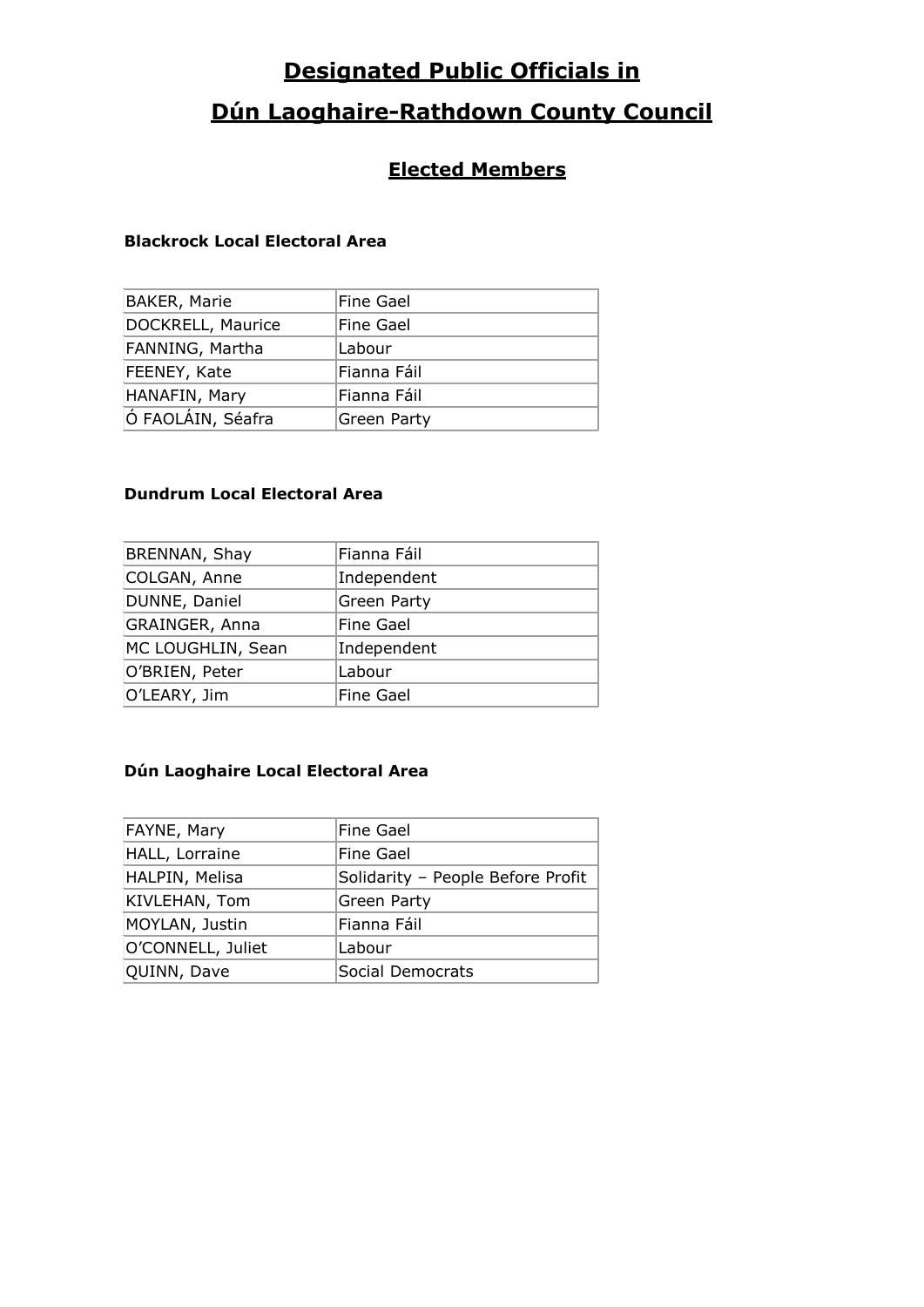# **Designated Public Officials in**

## **Dún Laoghaire-Rathdown County Council**

### **Elected Members**

### **Blackrock Local Electoral Area**

| <b>BAKER, Marie</b> | Fine Gael          |
|---------------------|--------------------|
| DOCKRELL, Maurice   | Fine Gael          |
| FANNING, Martha     | Labour             |
| FEENEY, Kate        | Fianna Fáil        |
| HANAFIN, Mary       | Fianna Fáil        |
| Ó FAOLÁIN, Séafra   | <b>Green Party</b> |

### **Dundrum Local Electoral Area**

| Fianna Fáil      |
|------------------|
| Independent      |
| Green Party      |
| Fine Gael        |
| Independent      |
| Labour           |
| <b>Fine Gael</b> |
|                  |

### **Dún Laoghaire Local Electoral Area**

| FAYNE, Mary       | <b>Fine Gael</b>                  |
|-------------------|-----------------------------------|
| HALL, Lorraine    | Fine Gael                         |
| HALPIN, Melisa    | Solidarity - People Before Profit |
| KIVLEHAN, Tom     | Green Party                       |
| MOYLAN, Justin    | Fianna Fáil                       |
| O'CONNELL, Juliet | Labour                            |
| QUINN, Dave       | <b>Social Democrats</b>           |